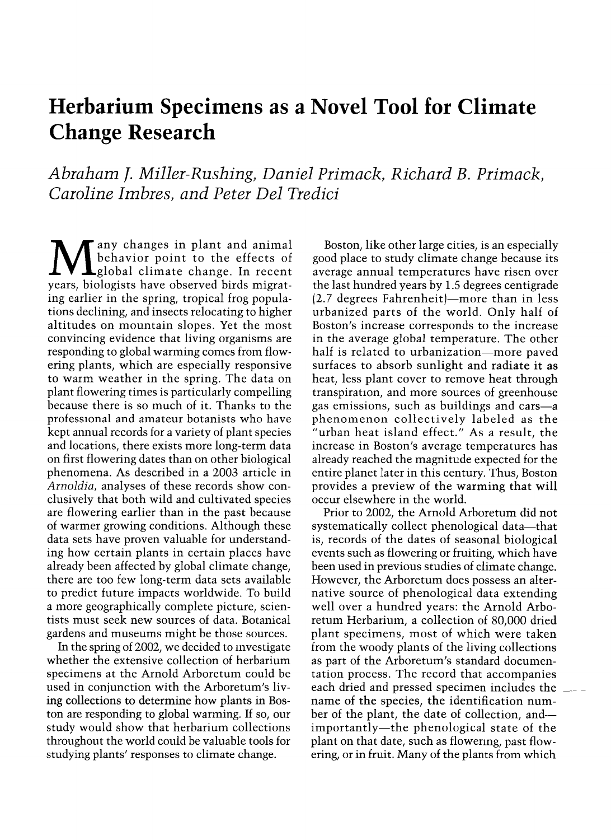# Herbarium Specimens as a Novel Tool for Climate Change Research

Abraham j. Miller-Rushing, Daniel Primack, Richard B. Primack, Caroline Imbres, and Peter Del Tredici

 $\displaystyle{\mathop{\hbox{1}}\nolimits_{\hbox{global}}^{\hbox{any changes in plant and animal}}$  only changes in plant and animal years, biologists have observed birds migrating earlier in the spring, tropical frog populations declining, and insects relocating to higher altitudes on mountain slopes. Yet the most convincing evidence that living organisms are responding to global warming comes from flow-<br>ering plants, which are especially responsive to warm weather in the spring. The data on plant flowering times is particularly compelling because there is so much of it. Thanks to the professional and amateur botanists who have kept annual records for a variety of plant species and locations, there exists more long-term data on first flowering dates than on other biological phenomena. As described in a 2003 article in Arnoldia, analyses of these records show conclusively that both wild and cultivated species are flowering earlier than in the past because of warmer growing conditions. Although these data sets have proven valuable for understanding how certain plants in certain places have already been affected by global climate change, there are too few long-term data sets available to predict future impacts worldwide. To build a more geographically complete picture, scientists must seek new sources of data. Botanical gardens and museums might be those sources.

In the spring of 2002, we decided to mvestigate whether the extensive collection of herbarium specimens at the Arnold Arboretum could be used in conjunction with the Arboretum's living collections to determine how plants in Boston are responding to global warming. If so, our study would show that herbarium collections throughout the world could be valuable tools for studying plants' responses to climate change.

Boston, like other large cities, is an especially good place to study climate change because its average annual temperatures have risen over the last hundred years by 1.5 degrees centigrade  $(2.7$  degrees Fahrenheit)-more than in less urbanized parts of the world. Only half of Boston's increase corresponds to the increase in the average global temperature. The other half is related to urbanization-more paved surfaces to absorb sunlight and radiate it as heat, less plant cover to remove heat through transpiration, and more sources of greenhouse gas emissions, such as buildings and cars-a phenomenon collectively labeled as the "urban heat island effect." As a result, the increase in Boston's average temperatures has already reached the magnitude expected for the entire planet later in this century. Thus, Boston provides a preview of the warming that will occur elsewhere in the world.

Prior to 2002, the Arnold Arboretum did not systematically collect phenological data-that is, records of the dates of seasonal biological events such as flowering or fruiting, which have been used in previous studies of climate change. However, the Arboretum does possess an alternative source of phenological data extending well over a hundred years: the Arnold Arboretum Herbarium, a collection of 80,000 dried plant specimens, most of which were taken from the woody plants of the living collections as part of the Arboretum's standard documentation process. The record that accompanies each dried and pressed specimen includes the  $\equiv$ name of the species, the identification number of the plant, the date of collection, andimportantly-the phenological state of the plant on that date, such as flowering, past flowering, or in fruit. Many of the plants from which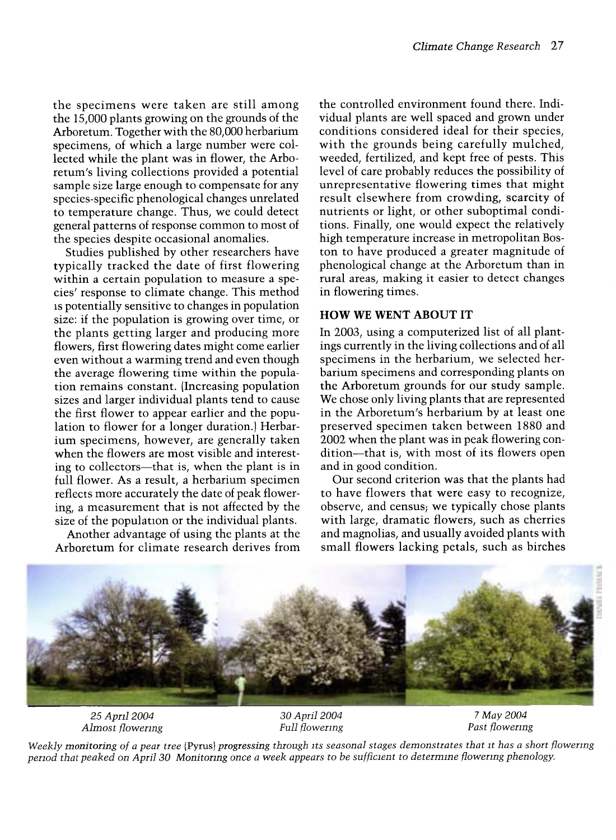the specimens were taken are still among the 15,000 plants growing on the grounds of the Arboretum. Together with the 80,000 herbarium specimens, of which a large number were collected while the plant was in flower, the Arboretum's living collections provided a potential sample size large enough to compensate for any species-specific phenological changes unrelated to temperature change. Thus, we could detect general patterns of response common to most of the species despite occasional anomalies.

Studies published by other researchers have typically tracked the date of first flowering within a certain population to measure a species' response to climate change. This method is potentially sensitive to changes in population size: if the population is growing over time, or the plants getting larger and producing more flowers, first flowering dates might come earlier even without a warming trend and even though the average flowering time within the population remains constant. (Increasing population sizes and larger individual plants tend to cause the first flower to appear earlier and the population to flower for a longer duration.) Herbarium specimens, however, are generally taken when the flowers are most visible and interesting to collectors—that is, when the plant is in full flower. As a result, a herbarium specimen reflects more accurately the date of peak flowering, a measurement that is not affected by the size of the population or the individual plants.

Another advantage of using the plants at the Arboretum for climate research derives from

the controlled environment found there. Individual plants are well spaced and grown under conditions considered ideal for their species, with the grounds being carefully mulched, weeded, fertilized, and kept free of pests. This level of care probably reduces the possibility of unrepresentative flowering times that might result elsewhere from crowding, scarcity of nutrients or light, or other suboptimal conditions. Finally, one would expect the relatively high temperature increase in metropolitan Boston to have produced a greater magnitude of phenological change at the Arboretum than in rural areas, making it easier to detect changes in flowering times.

#### HOW WE WENT ABOUT IT

In 2003, using a computerized list of all plantings currently in the living collections and of all specimens in the herbarium, we selected herbarium specimens and corresponding plants on the Arboretum grounds for our study sample. We chose only living plants that are represented in the Arboretum's herbarium by at least one preserved specimen taken between 1880 and 2002 when the plant was in peak flowering condition-that is, with most of its flowers open and in good condition.

Our second criterion was that the plants had to have flowers that were easy to recognize, observe, and census; we typically chose plants with large, dramatic flowers, such as cherries and magnolias, and usually avoided plants with small flowers lacking petals, such as birches



25 April 2004 Almost flowenng

30 April 2004 Full flowermg

Weekly monitoring of a pear tree (Pyrus) progressing through its seasonal stages demonstrates that it has a short flowermg pemod that peaked on April 30 Monitormg once a week appears to be sufficient to determme flowenng phenology.

<sup>7</sup> May 2004 Past flowenng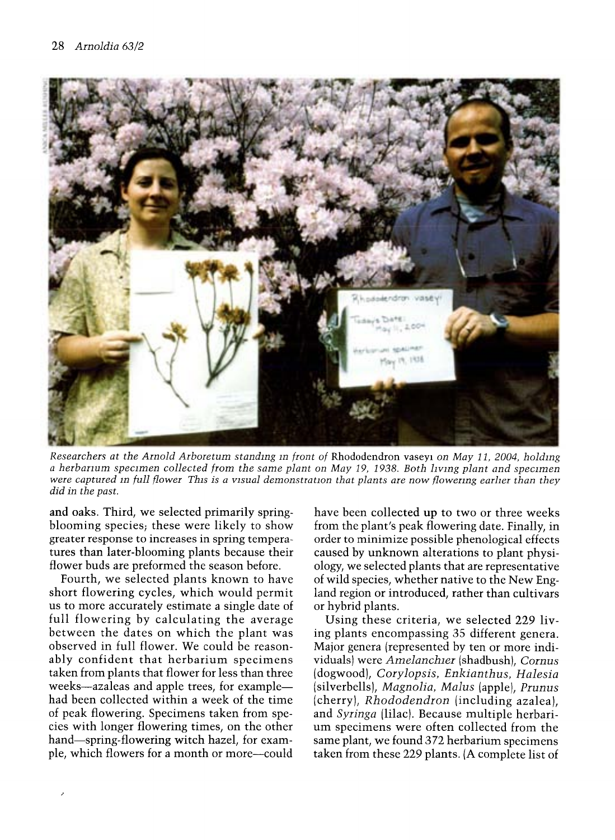

Researchers at the Arnold Arboretum standing in front of Rhododendron vaseyi on May 11, 2004, holding a herbarium specimen collected from the same plant on May 19, 1938. Both Iiving plant and specimen were captured in full flower This is a visual demonstration that plants are now flowering earlier than they did in the past.

tures than later-blooming plants because their caused by unknown alterations to plant physi-<br>flower buds are preformed the season before. ology, we selected plants that are representative

Fourth, we selected plants known to have of wild species, whether native to the New Eng-<br>short flowering cycles, which would permit land region or introduced, rather than cultivars us to more accurately estimate a single date of<br>full flowering by calculating the average full flowering by calculating the average Using these criteria, we selected 229 liv-<br>between the dates on which the plant was ing plants encompassing 35 different genera. between the dates on which the plant was ing plants encompassing 35 different genera.<br>observed in full flower. We could be reason-Major genera (represented by ten or more indiobserved in full flower. We could be reason-<br>ably confident that herbarium specimens viduals were *Amelanchier* (shadbush). *Cornus* ably confident that herbarium specimens viduals) were Amelanchier (shadbush), Cornus taken from plants that flower for less than three (dogwood), Corylopsis, Enkianthus, Halesia taken from plants that flower for less than three (dogwood), Corylopsis, Enkianthus, Halesia<br>weeks—azaleas and apple trees, for example— (silverbells), Magnolia, Malus (apple), Prunus weeks—azaleas and apple trees, for example— (silverbells), *Magnolia*, *Malus* (apple), *Prunus* had been collected within a week of the time (cherry). *Rhododendron* (including azalea). had been collected within a week of the time (cherry), Rhododendron (including azalea), of peak flowering. Specimens taken from spe-<br>and Syringa (lilac). Because multiple herbariof peak flowering. Specimens taken from spe-<br>cies with longer flowering times, on the other um specimens were often collected from the cies with longer flowering times, on the other um specimens were often collected from the hand—spring-flowering witch hazel, for exam-<br>same plant, we found 372 herbarium specimens hand—spring-flowering witch hazel, for exam-<br>ple, which flowers for a month or more—could taken from these 229 plants. (A complete list of

and oaks. Third, we selected primarily spring-<br>blooming species, these were likely to show from the plant's peak flowering date. Finally, in blooming species; these were likely to show from the plant's peak flowering date. Finally, in greater response to increases in spring tempera-<br>order to minimize possible phenological effects greater response to increases in spring tempera- order to minimize possible phenological effects flower buds are preformed the season before. Ology, we selected plants that are representative<br>Fourth, we selected plants known to have of wild species, whether native to the New England region or introduced, rather than cultivars<br>or hybrid plants.

taken from these 229 plants. (A complete list of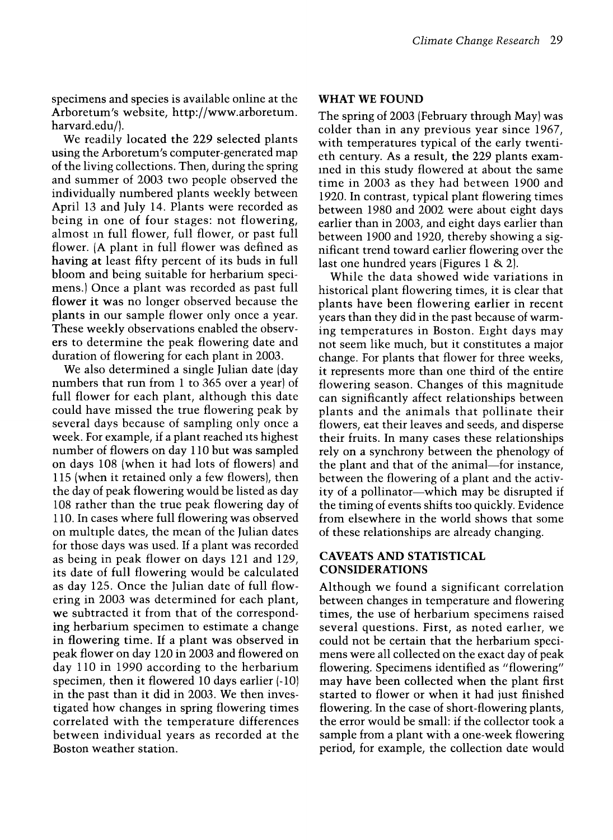specimens and species is available online at the Arboretum's website, http://www.arboretum. harvard.edu/).

We readily located the 229 selected plants using the Arboretum's computer-generated map of the living collections. Then, during the spring and summer of 2003 two people observed the individually numbered plants weekly between April 13 and July 14. Plants were recorded as being in one of four stages: not flowering, almost m full flower, full flower, or past full flower. (A plant in full flower was defined as having at least fifty percent of its buds in full bloom and being suitable for herbarium specimens.) Once a plant was recorded as past full flower it was no longer observed because the plants in our sample flower only once a year. These weekly observations enabled the observers to determine the peak flowering date and duration of flowering for each plant in 2003.

We also determined a single Julian date (day numbers that run from 1 to 365 over a year) of full flower for each plant, although this date could have missed the true flowering peak by several days because of sampling only once a week. For example, if a plant reached its highest number of flowers on day 110 but was sampled on days 108 (when it had lots of flowers) and 115 (when it retained only a few flowers), then the day of peak flowering would be listed as day 108 rather than the true peak flowering day of 110. In cases where full flowering was observed on multiple dates, the mean of the Julian dates for those days was used. If a plant was recorded as being in peak flower on days 121 and 129, its date of full flowering would be calculated as day 125. Once the Julian date of full flowwe subtracted it from that of the corresponding herbarium specimen to estimate a change in flowering time. If a plant was observed in peak flower on day 120 in 2003 and flowered on day 110 in 1990 according to the herbarium specimen, then it flowered 10 days earlier (-10) in the past than it did in 2003. We then investigated how changes in spring flowering times correlated with the temperature differences between individual years as recorded at the Boston weather station.

#### WHAT WE FOUND

The spring of 2003 (February through May) was colder than in any previous year since 1967, with temperatures typical of the early twentieth century. As a result, the 229 plants examined in this study flowered at about the same time in 2003 as they had between 1900 and 1920. In contrast, typical plant flowering times between 1980 and 2002 were about eight days earlier than in 2003, and eight days earlier than between 1900 and 1920, thereby showing a significant trend toward earlier flowering over the last one hundred years (Figures 1 & 2).

While the data showed wide variations in historical plant flowering times, it is clear that plants have been flowering earlier in recent years than they did in the past because of warming temperatures in Boston. Eight days may not seem like much, but it constitutes a major change. For plants that flower for three weeks, it represents more than one third of the entire flowering season. Changes of this magnitude can significantly affect relationships between plants and the animals that pollinate their flowers, eat their leaves and seeds, and disperse their fruits. In many cases these relationships rely on a synchrony between the phenology of the plant and that of the animal-for instance, between the flowering of a plant and the activity of a pollinator—which may be disrupted if the timing of events shifts too quickly. Evidence from elsewhere in the world shows that some of these relationships are already changing.

### CAVEATS AND STATISTICAL CONSIDERATIONS

Although we found a significant correlation between changes in temperature and flowering times, the use of herbarium specimens raised several questions. First, as noted earlier, we could not be certain that the herbarium speci mens were all collected on the exact day of peak flowering. Specimens identified as "flowering" may have been collected when the plant first started to flower or when it had just finished flowering. In the case of short-flowering plants, the error would be small: if the collector took a sample from a plant with a one-week flowering period, for example, the collection date would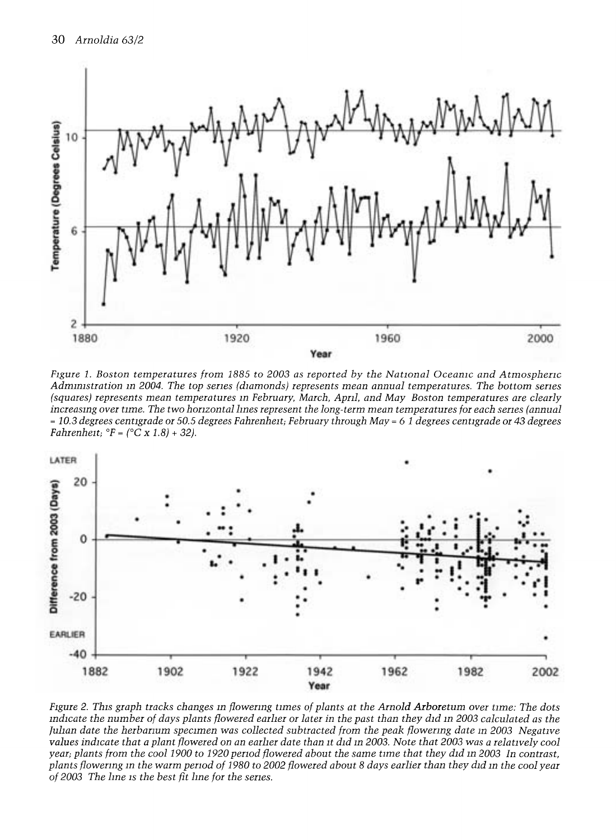

Figure l. Boston temperatures from 1885 to 2003 as reported by the National Oceamc and Atmosphemc Admmlstration m 2004. The top senes (diamonds) represents mean annual temperatures. The bottom semes (squares) represents mean temperatures in February, March, April, and May Boston temperatures are clearly<br>increasing over time. The two horizontal lines represent the long-term mean temperatures for each series (annual  $= 10.3$  degrees centigrade or 50.5 degrees Fahrenheit; February through May  $= 6$  1 degrees centigrade or 43 degrees Fahrenheit;  ${}^{\circ}F = ({}^{\circ}C \times 1.8) + 32$ ).



Figure 2. This graph tracks changes m flowenng times of plants at the Arnold Arboretum over time: The dots mdicate the number of days plants flowered earher or later in the past than they did m 2003 calculated as the Julian date the herbarium specimen was collected subtracted from the peak flowering date in 2003 Negative values indicate that a plant flowered on an earher date than it did m 2003. Note that 2003 was a relatively cool year; plants from the cool 1900 to 1920 pemod flowered about the same time that they did m 2003 In contrast, plants flowenng m the warm pemod of 1980 to 2002 flowered about 8 days earlier than they did m the cool year of 2003 The Ime is the best fit Ime for the senes.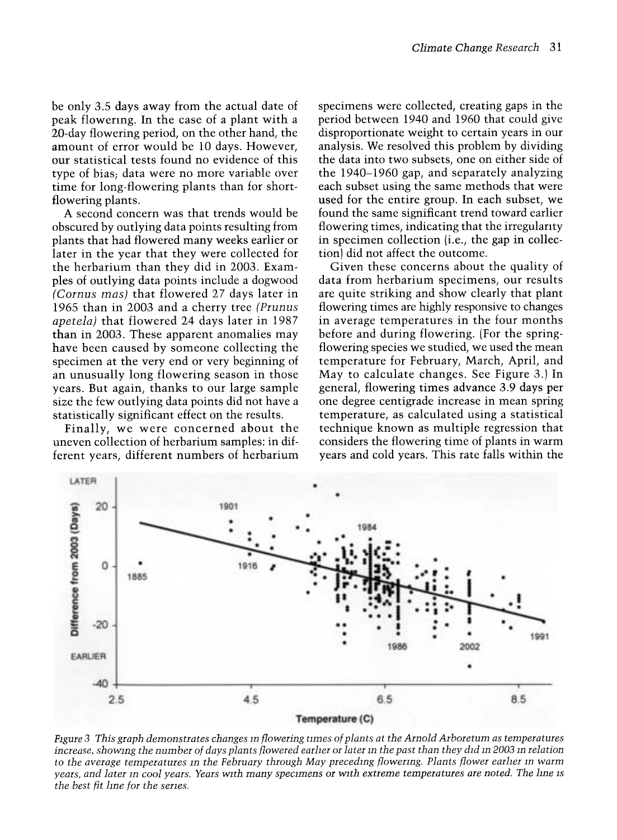be only 3.5 days away from the actual date of peak flowering. In the case of a plant with a 20-day flowering period, on the other hand, the amount of error would be 10 days. However, our statistical tests found no evidence of this type of bias; data were no more variable over time for long-flowering plants than for shortflowering plants.

A second concern was that trends would be obscured by outlying data points resulting from plants that had flowered many weeks earlier or later in the year that they were collected for the herbarium than they did in 2003. Examples of outlying data points include a dogwood (Cornus mas) that flowered 27 days later in 1965 than in 2003 and a cherry tree (Prunus apetela) that flowered 24 days later in 1987 than in 2003. These apparent anomalies may have been caused by someone collecting the specimen at the very end or very beginning of an unusually long flowering season in those years. But again, thanks to our large sample size the few outlying data points did not have a statistically significant effect on the results.

Finally, we were concerned about the uneven collection of herbarium samples: in different years, different numbers of herbarium

specimens were collected, creating gaps in the period between 1940 and 1960 that could give disproportionate weight to certain years in our analysis. We resolved this problem by dividing the data into two subsets, one on either side of the 1940-1960 gap, and separately analyzing each subset using the same methods that were used for the entire group. In each subset, we found the same significant trend toward earlier flowering times, indicating that the irregularity in specimen collection (i.e., the gap in collection) did not affect the outcome.

Given these concerns about the quality of data from herbarium specimens, our results are quite striking and show clearly that plant flowering times are highly responsive to changes in average temperatures in the four months before and during flowering. (For the springflowering species we studied, we used the mean temperature for February, March, April, and May to calculate changes. See Figure 3.) In general, flowering times advance 3.9 days per one degree centigrade increase in mean spring temperature, as calculated using a statistical technique known as multiple regression that considers the flowering time of plants in warm years and cold years. This rate falls within the



Figure 3 This graph demonstrates changes m flowering times of plants at the Arnold Arboretum as temperatures increase, showing the number of days plants flowered earlier or later in the past than they did in 2003 in relation to the average temperatures in the February through May preceding flowering. Plants flower earlier in warm years, and later in cool years. Years with many specimens or with extreme temperatures are noted. The line is the best fit lme for the senes.